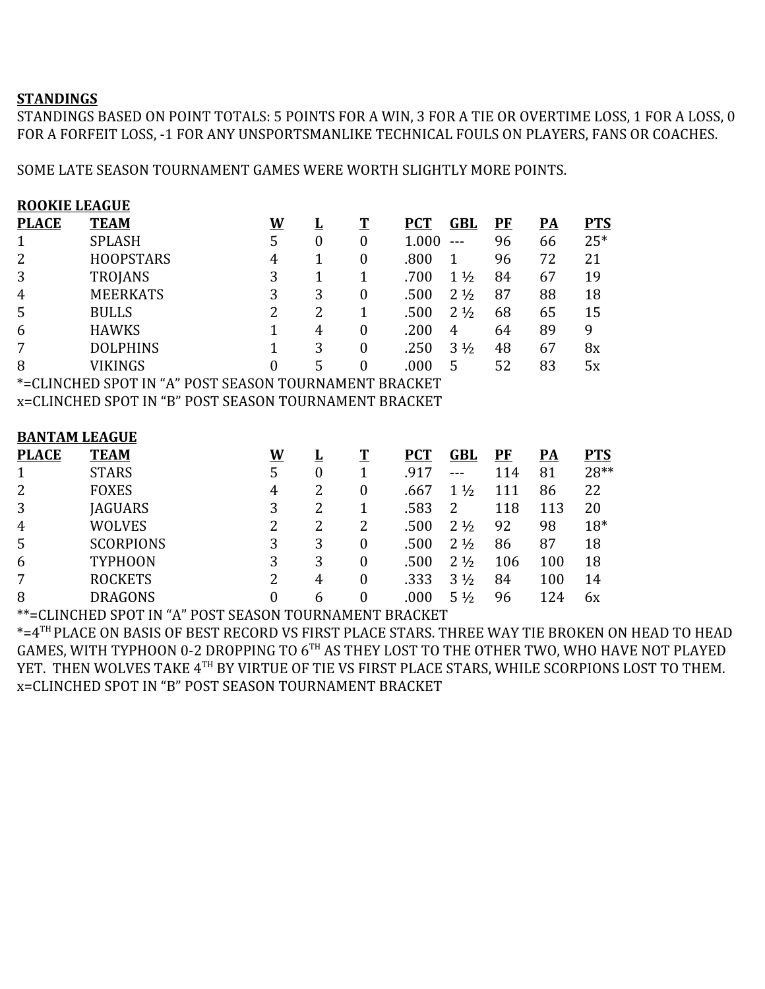## **STANDINGS**

STANDINGS BASED ON POINT TOTALS: 5 POINTS FOR A WIN, 3 FOR A TIE OR OVERTIME LOSS, 1 FOR A LOSS, 0 FOR A FORFEIT LOSS, -1 FOR ANY UNSPORTSMANLIKE TECHNICAL FOULS ON PLAYERS, FANS OR COACHES.

SOME LATE SEASON TOURNAMENT GAMES WERE WORTH SLIGHTLY MORE POINTS.

| <b>PTS</b><br>$25*$<br>21<br>19<br>18<br>15<br>9<br>8x<br>5x |  |  |  |  |  |  |  |  |  |  |  |
|--------------------------------------------------------------|--|--|--|--|--|--|--|--|--|--|--|
|                                                              |  |  |  |  |  |  |  |  |  |  |  |
|                                                              |  |  |  |  |  |  |  |  |  |  |  |
|                                                              |  |  |  |  |  |  |  |  |  |  |  |
|                                                              |  |  |  |  |  |  |  |  |  |  |  |
|                                                              |  |  |  |  |  |  |  |  |  |  |  |
|                                                              |  |  |  |  |  |  |  |  |  |  |  |
|                                                              |  |  |  |  |  |  |  |  |  |  |  |
|                                                              |  |  |  |  |  |  |  |  |  |  |  |
|                                                              |  |  |  |  |  |  |  |  |  |  |  |
| *=CLINCHED SPOT IN "A" POST SEASON TOURNAMENT BRACKET        |  |  |  |  |  |  |  |  |  |  |  |
| x=CLINCHED SPOT IN "B" POST SEASON TOURNAMENT BRACKET        |  |  |  |  |  |  |  |  |  |  |  |
|                                                              |  |  |  |  |  |  |  |  |  |  |  |
| <b>BANTAM LEAGUE</b>                                         |  |  |  |  |  |  |  |  |  |  |  |
| <b>PTS</b>                                                   |  |  |  |  |  |  |  |  |  |  |  |
| 28**                                                         |  |  |  |  |  |  |  |  |  |  |  |
| 22                                                           |  |  |  |  |  |  |  |  |  |  |  |
| 20                                                           |  |  |  |  |  |  |  |  |  |  |  |
| $18*$                                                        |  |  |  |  |  |  |  |  |  |  |  |
| 18                                                           |  |  |  |  |  |  |  |  |  |  |  |
| 18                                                           |  |  |  |  |  |  |  |  |  |  |  |
| 14                                                           |  |  |  |  |  |  |  |  |  |  |  |
| 6x                                                           |  |  |  |  |  |  |  |  |  |  |  |
|                                                              |  |  |  |  |  |  |  |  |  |  |  |

\*\*=CLINCHED SPOT IN "A" POST SEASON TOURNAMENT BRACKET

\*=4TH PLACE ON BASIS OF BEST RECORD VS FIRST PLACE STARS. THREE WAY TIE BROKEN ON HEAD TO HEAD GAMES, WITH TYPHOON 0-2 DROPPING TO 6 $^{\text{\tiny{\textsf{TH}}}}$  AS THEY LOST TO THE OTHER TWO, WHO HAVE NOT PLAYED YET. THEN WOLVES TAKE 4TH BY VIRTUE OF TIE VS FIRST PLACE STARS, WHILE SCORPIONS LOST TO THEM. x=CLINCHED SPOT IN "B" POST SEASON TOURNAMENT BRACKET